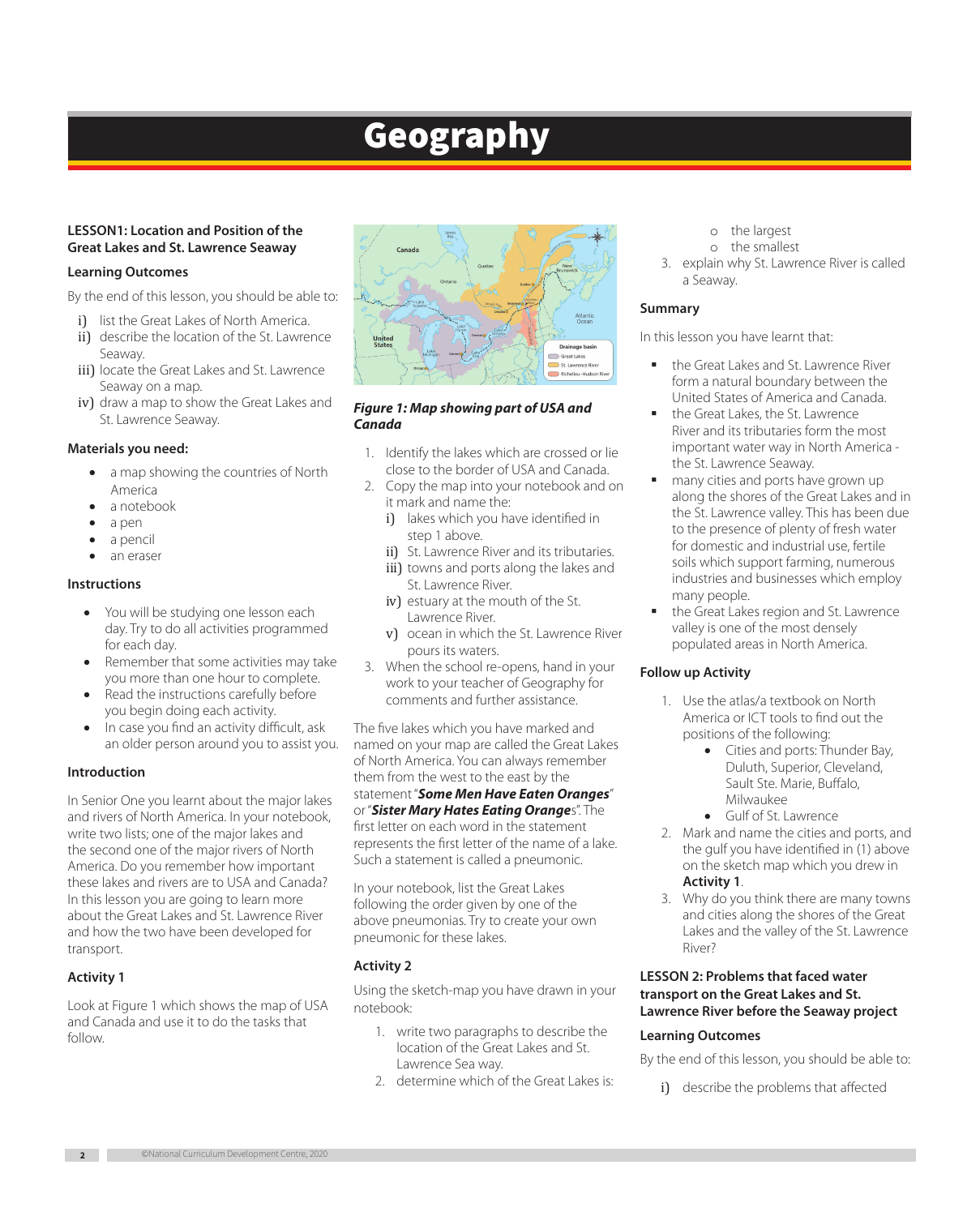# Geography

# **LESSON1: Location and Position of the Great Lakes and St. Lawrence Seaway**

## **Learning Outcomes**

By the end of this lesson, you should be able to:

- i) list the Great Lakes of North America.
- ii) describe the location of the St. Lawrence Seaway.
- iii) locate the Great Lakes and St. Lawrence Seaway on a map.
- iv) draw a map to show the Great Lakes and St. Lawrence Seaway.

## **Materials you need:**

- a map showing the countries of North America
- a notebook
- a pen
- a pencil
- an eraser

## **Instructions**

- You will be studying one lesson each day. Try to do all activities programmed for each day.
- Remember that some activities may take you more than one hour to complete.
- Read the instructions carefully before you begin doing each activity.
- In case you find an activity difficult, ask an older person around you to assist you.

## **Introduction**

In Senior One you learnt about the major lakes and rivers of North America. In your notebook, write two lists; one of the major lakes and the second one of the major rivers of North America. Do you remember how important these lakes and rivers are to USA and Canada? In this lesson you are going to learn more about the Great Lakes and St. Lawrence River and how the two have been developed for transport.

## **Activity 1**

Look at Figure 1 which shows the map of USA and Canada and use it to do the tasks that follow.



## *Figure 1: Map showing part of USA and Canada*

- 1. Identify the lakes which are crossed or lie close to the border of USA and Canada.
- 2. Copy the map into your notebook and on it mark and name the:
	- i) lakes which you have identified in step 1 above.
	- ii) St. Lawrence River and its tributaries. iii) towns and ports along the lakes and
	- St. Lawrence River. iv) estuary at the mouth of the St. Lawrence River.
	- v) ocean in which the St. Lawrence River pours its waters.
- 3. When the school re-opens, hand in your work to your teacher of Geography for comments and further assistance.

The five lakes which you have marked and named on your map are called the Great Lakes of North America. You can always remember them from the west to the east by the statement "*Some Men Have Eaten Oranges*" or "*Sister Mary Hates Eating Orange*s". The first letter on each word in the statement represents the first letter of the name of a lake. Such a statement is called a pneumonic.

In your notebook, list the Great Lakes following the order given by one of the above pneumonias. Try to create your own pneumonic for these lakes.

## **Activity 2**

Using the sketch-map you have drawn in your notebook:

- 1. write two paragraphs to describe the location of the Great Lakes and St. Lawrence Sea way.
- 2. determine which of the Great Lakes is:
- o the largest
- o the smallest
- 3. explain why St. Lawrence River is called a Seaway.

## **Summary**

In this lesson you have learnt that:

- the Great Lakes and St. Lawrence River form a natural boundary between the United States of America and Canada.
- the Great Lakes, the St. Lawrence River and its tributaries form the most important water way in North America the St. Lawrence Seaway.
- many cities and ports have grown up along the shores of the Great Lakes and in the St. Lawrence valley. This has been due to the presence of plenty of fresh water for domestic and industrial use, fertile soils which support farming, numerous industries and businesses which employ many people.
- the Great Lakes region and St. Lawrence valley is one of the most densely populated areas in North America.

## **Follow up Activity**

- 1. Use the atlas/a textbook on North America or ICT tools to find out the positions of the following:
	- Cities and ports: Thunder Bay, Duluth, Superior, Cleveland, Sault Ste. Marie, Buffalo, Milwaukee
	- Gulf of St. Lawrence
- 2. Mark and name the cities and ports, and the gulf you have identified in (1) above on the sketch map which you drew in **Activity 1**.
- 3. Why do you think there are many towns and cities along the shores of the Great Lakes and the valley of the St. Lawrence River?

## **LESSON 2: Problems that faced water transport on the Great Lakes and St. Lawrence River before the Seaway project**

# **Learning Outcomes**

By the end of this lesson, you should be able to:

i) describe the problems that affected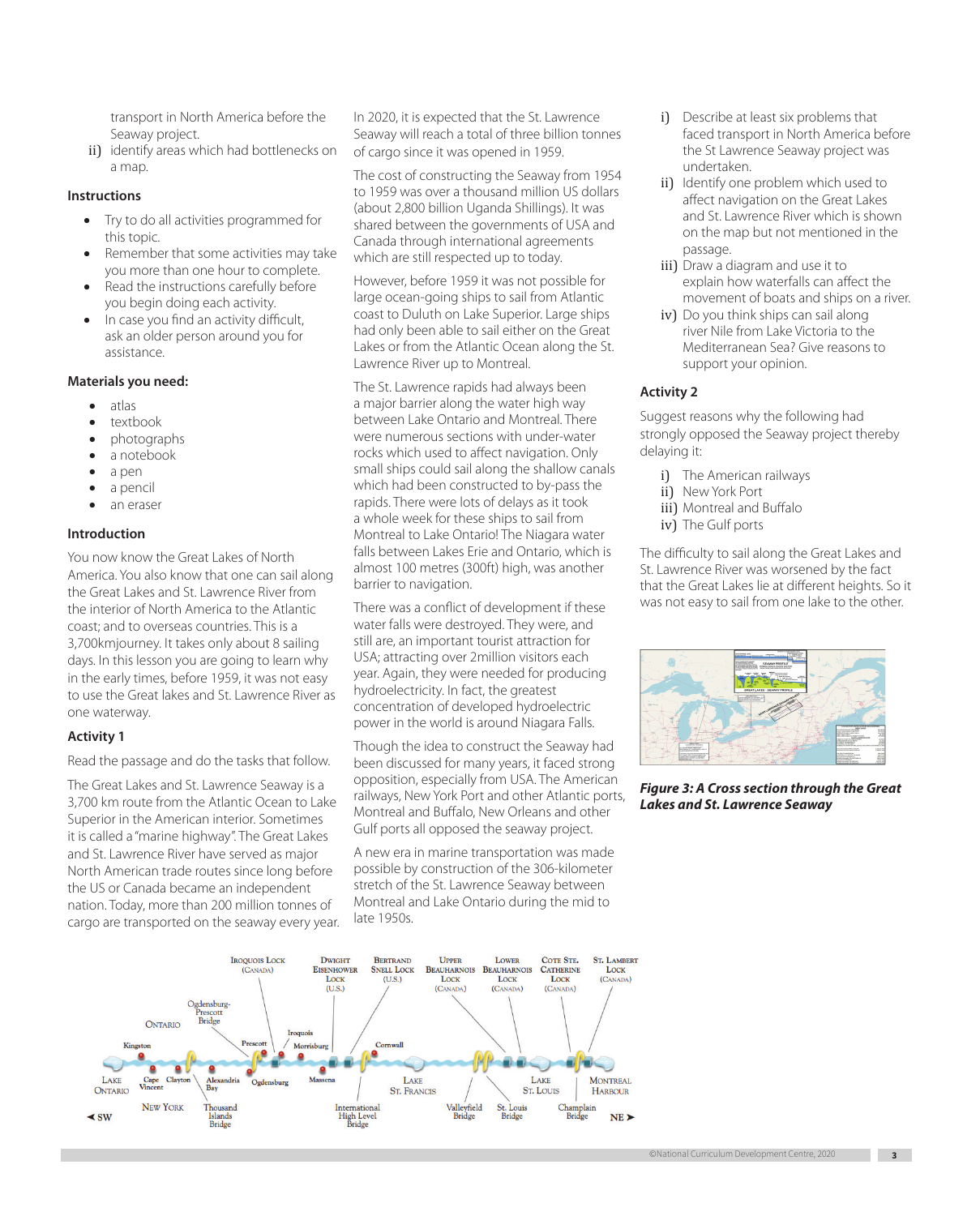transport in North America before the Seaway project.

ii) identify areas which had bottlenecks on a map.

#### **Instructions**

- • Try to do all activities programmed for this topic.
- Remember that some activities may take you more than one hour to complete.
- Read the instructions carefully before you begin doing each activity.
- In case you find an activity difficult, ask an older person around you for assistance.

#### **Materials you need:**

- • atlas
- textbook
- photographs
- a notebook
- a pen
- a pencil
- an eraser

#### **Introduction**

You now know the Great Lakes of North America. You also know that one can sail along the Great Lakes and St. Lawrence River from the interior of North America to the Atlantic coast; and to overseas countries. This is a 3,700kmjourney. It takes only about 8 sailing days. In this lesson you are going to learn why in the early times, before 1959, it was not easy to use the Great lakes and St. Lawrence River as one waterway.

#### **Activity 1**

Read the passage and do the tasks that follow.

The Great Lakes and St. Lawrence Seaway is a 3,700 km route from the Atlantic Ocean to Lake Superior in the American interior. Sometimes it is called a "marine highway". The Great Lakes and St. Lawrence River have served as major North American trade routes since long before the US or Canada became an independent nation. Today, more than 200 million tonnes of cargo are transported on the seaway every year.

In 2020, it is expected that the St. Lawrence Seaway will reach a total of three billion tonnes of cargo since it was opened in 1959.

The cost of constructing the Seaway from 1954 to 1959 was over a thousand million US dollars (about 2,800 billion Uganda Shillings). It was shared between the governments of USA and Canada through international agreements which are still respected up to today.

However, before 1959 it was not possible for large ocean-going ships to sail from Atlantic coast to Duluth on Lake Superior. Large ships had only been able to sail either on the Great Lakes or from the Atlantic Ocean along the St. Lawrence River up to Montreal.

The St. Lawrence rapids had always been a major barrier along the water high way between Lake Ontario and Montreal. There were numerous sections with under-water rocks which used to affect navigation. Only small ships could sail along the shallow canals which had been constructed to by-pass the rapids. There were lots of delays as it took a whole week for these ships to sail from Montreal to Lake Ontario! The Niagara water falls between Lakes Erie and Ontario, which is almost 100 metres (300ft) high, was another barrier to navigation.

There was a conflict of development if these water falls were destroyed. They were, and still are, an important tourist attraction for USA; attracting over 2million visitors each year. Again, they were needed for producing hydroelectricity. In fact, the greatest concentration of developed hydroelectric power in the world is around Niagara Falls.

Though the idea to construct the Seaway had been discussed for many years, it faced strong opposition, especially from USA. The American railways, New York Port and other Atlantic ports, Montreal and Buffalo, New Orleans and other Gulf ports all opposed the seaway project.

A new era in marine transportation was made possible by construction of the 306-kilometer stretch of the St. Lawrence Seaway between Montreal and Lake Ontario during the mid to late 1950s.

- i) Describe at least six problems that faced transport in North America before the St Lawrence Seaway project was undertaken.
- ii) Identify one problem which used to affect navigation on the Great Lakes and St. Lawrence River which is shown on the map but not mentioned in the passage.
- iii) Draw a diagram and use it to explain how waterfalls can affect the movement of boats and ships on a river.
- iv) Do you think ships can sail along river Nile from Lake Victoria to the Mediterranean Sea? Give reasons to support your opinion.

#### **Activity 2**

Suggest reasons why the following had strongly opposed the Seaway project thereby delaying it:

- i) The American railways
- ii) New York Port
- iii) Montreal and Buffalo
- iv) The Gulf ports

The difficulty to sail along the Great Lakes and St. Lawrence River was worsened by the fact that the Great Lakes lie at different heights. So it was not easy to sail from one lake to the other.



*Figure 3: A Cross section through the Great Lakes and St. Lawrence Seaway*